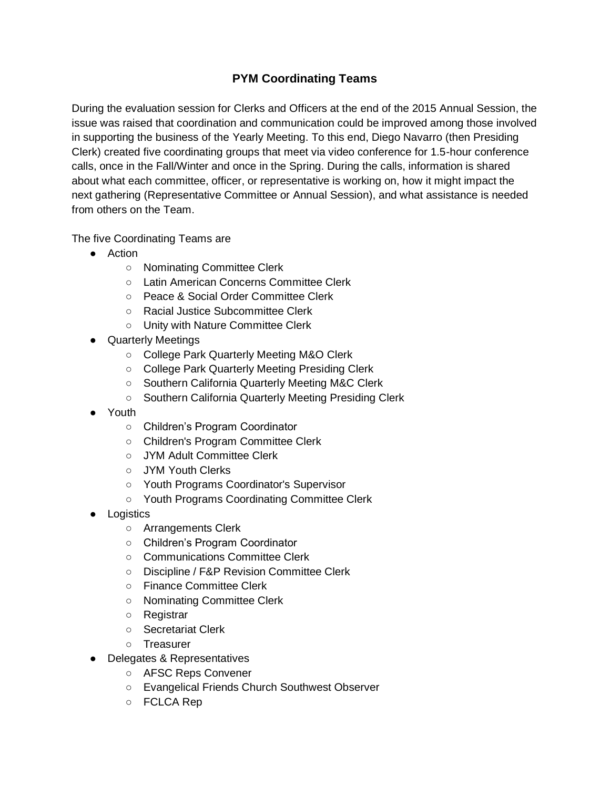## **PYM Coordinating Teams**

During the evaluation session for Clerks and Officers at the end of the 2015 Annual Session, the issue was raised that coordination and communication could be improved among those involved in supporting the business of the Yearly Meeting. To this end, Diego Navarro (then Presiding Clerk) created five coordinating groups that meet via video conference for 1.5-hour conference calls, once in the Fall/Winter and once in the Spring. During the calls, information is shared about what each committee, officer, or representative is working on, how it might impact the next gathering (Representative Committee or Annual Session), and what assistance is needed from others on the Team.

The five Coordinating Teams are

- Action
	- Nominating Committee Clerk
	- Latin American Concerns Committee Clerk
	- Peace & Social Order Committee Clerk
	- Racial Justice Subcommittee Clerk
	- Unity with Nature Committee Clerk
- Quarterly Meetings
	- College Park Quarterly Meeting M&O Clerk
	- College Park Quarterly Meeting Presiding Clerk
	- Southern California Quarterly Meeting M&C Clerk
	- Southern California Quarterly Meeting Presiding Clerk
- Youth
	- Children's Program Coordinator
	- Children's Program Committee Clerk
	- JYM Adult Committee Clerk
	- JYM Youth Clerks
	- Youth Programs Coordinator's Supervisor
	- Youth Programs Coordinating Committee Clerk
- Logistics
	- Arrangements Clerk
	- Children's Program Coordinator
	- Communications Committee Clerk
	- Discipline / F&P Revision Committee Clerk
	- Finance Committee Clerk
	- Nominating Committee Clerk
	- Registrar
	- Secretariat Clerk
	- Treasurer
- Delegates & Representatives
	- AFSC Reps Convener
	- Evangelical Friends Church Southwest Observer
	- FCLCA Rep